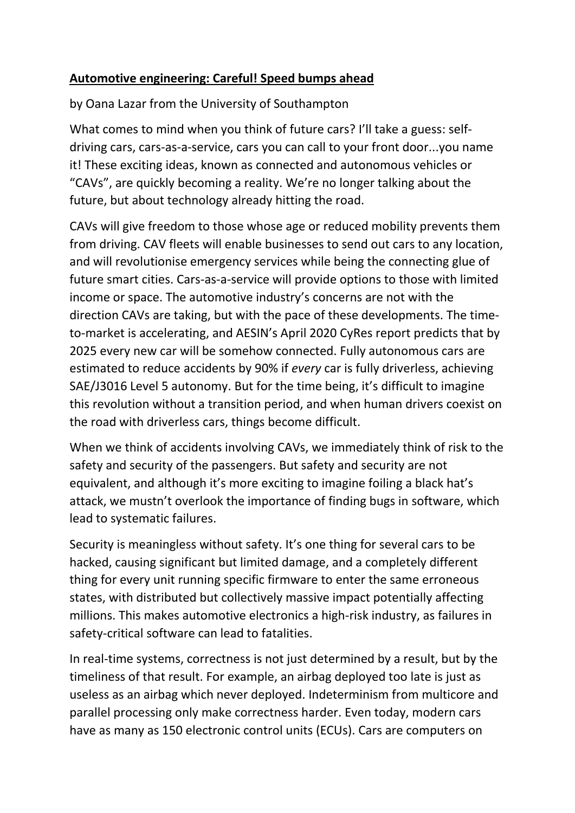## **Automotive engineering: Careful! Speed bumps ahead**

by Oana Lazar from the University of Southampton

What comes to mind when you think of future cars? I'll take a guess: selfdriving cars, cars-as-a-service, cars you can call to your front door...you name it! These exciting ideas, known as connected and autonomous vehicles or "CAVs", are quickly becoming a reality. We're no longer talking about the future, but about technology already hitting the road.

CAVs will give freedom to those whose age or reduced mobility prevents them from driving. CAV fleets will enable businesses to send out cars to any location, and will revolutionise emergency services while being the connecting glue of future smart cities. Cars-as-a-service will provide options to those with limited income or space. The automotive industry's concerns are not with the direction CAVs are taking, but with the pace of these developments. The timeto-market is accelerating, and AESIN's April 2020 CyRes report predicts that by 2025 every new car will be somehow connected. Fully autonomous cars are estimated to reduce accidents by 90% if *every* car is fully driverless, achieving SAE/J3016 Level 5 autonomy. But for the time being, it's difficult to imagine this revolution without a transition period, and when human drivers coexist on the road with driverless cars, things become difficult.

When we think of accidents involving CAVs, we immediately think of risk to the safety and security of the passengers. But safety and security are not equivalent, and although it's more exciting to imagine foiling a black hat's attack, we mustn't overlook the importance of finding bugs in software, which lead to systematic failures.

Security is meaningless without safety. It's one thing for several cars to be hacked, causing significant but limited damage, and a completely different thing for every unit running specific firmware to enter the same erroneous states, with distributed but collectively massive impact potentially affecting millions. This makes automotive electronics a high-risk industry, as failures in safety-critical software can lead to fatalities.

In real-time systems, correctness is not just determined by a result, but by the timeliness of that result. For example, an airbag deployed too late is just as useless as an airbag which never deployed. Indeterminism from multicore and parallel processing only make correctness harder. Even today, modern cars have as many as 150 electronic control units (ECUs). Cars are computers on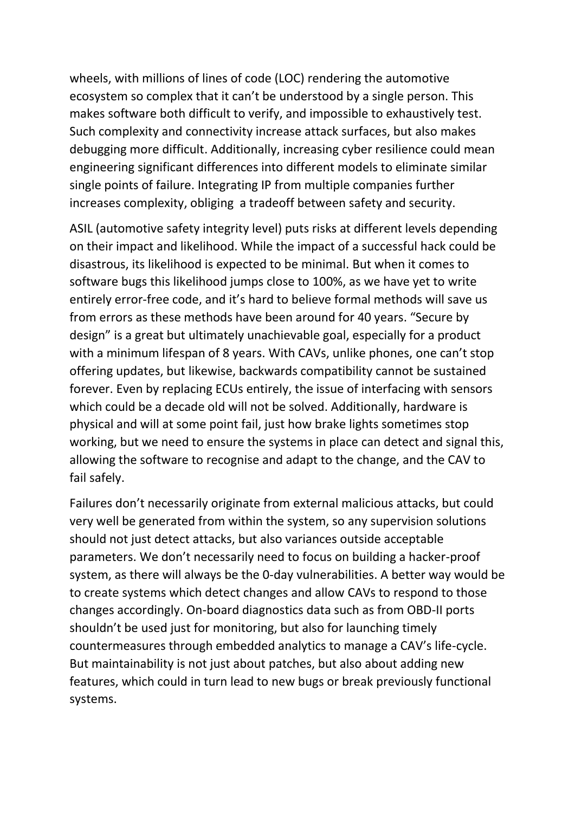wheels, with millions of lines of code (LOC) rendering the automotive ecosystem so complex that it can't be understood by a single person. This makes software both difficult to verify, and impossible to exhaustively test. Such complexity and connectivity increase attack surfaces, but also makes debugging more difficult. Additionally, increasing cyber resilience could mean engineering significant differences into different models to eliminate similar single points of failure. Integrating IP from multiple companies further increases complexity, obliging a tradeoff between safety and security.

ASIL (automotive safety integrity level) puts risks at different levels depending on their impact and likelihood. While the impact of a successful hack could be disastrous, its likelihood is expected to be minimal. But when it comes to software bugs this likelihood jumps close to 100%, as we have yet to write entirely error-free code, and it's hard to believe formal methods will save us from errors as these methods have been around for 40 years. "Secure by design" is a great but ultimately unachievable goal, especially for a product with a minimum lifespan of 8 years. With CAVs, unlike phones, one can't stop offering updates, but likewise, backwards compatibility cannot be sustained forever. Even by replacing ECUs entirely, the issue of interfacing with sensors which could be a decade old will not be solved. Additionally, hardware is physical and will at some point fail, just how brake lights sometimes stop working, but we need to ensure the systems in place can detect and signal this, allowing the software to recognise and adapt to the change, and the CAV to fail safely.

Failures don't necessarily originate from external malicious attacks, but could very well be generated from within the system, so any supervision solutions should not just detect attacks, but also variances outside acceptable parameters. We don't necessarily need to focus on building a hacker-proof system, as there will always be the 0-day vulnerabilities. A better way would be to create systems which detect changes and allow CAVs to respond to those changes accordingly. On-board diagnostics data such as from OBD-II ports shouldn't be used just for monitoring, but also for launching timely countermeasures through embedded analytics to manage a CAV's life-cycle. But maintainability is not just about patches, but also about adding new features, which could in turn lead to new bugs or break previously functional systems.